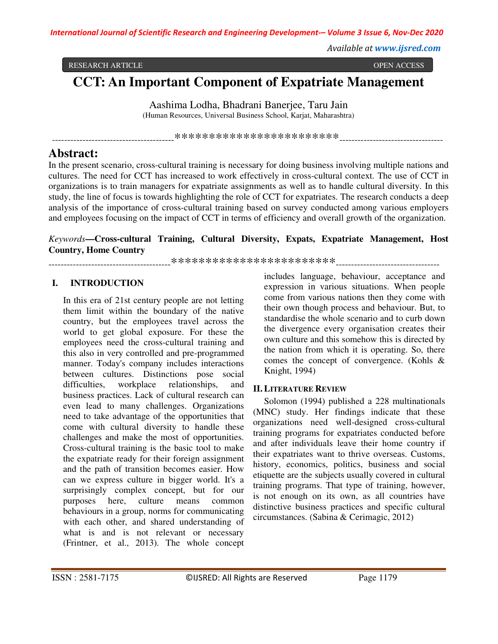*Available at www.ijsred.com*

RESEARCH ARTICLE OPEN ACCESS

# **CCT: An Important Component of Expatriate Management**

Aashima Lodha, Bhadrani Banerjee, Taru Jain

(Human Resources, Universal Business School, Karjat, Maharashtra)

----------------------------------------\*\*\*\*\*\*\*\*\*\*\*\*\*\*\*\*\*\*\*\*\*\*\*\*----------------------------------

## **Abstract:**

In the present scenario, cross-cultural training is necessary for doing business involving multiple nations and cultures. The need for CCT has increased to work effectively in cross-cultural context. The use of CCT in organizations is to train managers for expatriate assignments as well as to handle cultural diversity. In this study, the line of focus is towards highlighting the role of CCT for expatriates. The research conducts a deep analysis of the importance of cross-cultural training based on survey conducted among various employers and employees focusing on the impact of CCT in terms of efficiency and overall growth of the organization.

*Keywords***—Cross-cultural Training, Cultural Diversity, Expats, Expatriate Management, Host Country, Home Country**

----------------------------------------\*\*\*\*\*\*\*\*\*\*\*\*\*\*\*\*\*\*\*\*\*\*\*\*----------------------------------

## **I. INTRODUCTION**

In this era of 21st century people are not letting them limit within the boundary of the native country, but the employees travel across the world to get global exposure. For these the employees need the cross-cultural training and this also in very controlled and pre-programmed manner. Today's company includes interactions between cultures. Distinctions pose social difficulties, workplace relationships, and business practices. Lack of cultural research can even lead to many challenges. Organizations need to take advantage of the opportunities that come with cultural diversity to handle these challenges and make the most of opportunities. Cross-cultural training is the basic tool to make the expatriate ready for their foreign assignment and the path of transition becomes easier. How can we express culture in bigger world. It's a surprisingly complex concept, but for our purposes here, culture means common behaviours in a group, norms for communicating with each other, and shared understanding of what is and is not relevant or necessary (Frintner, et al., 2013). The whole concept

includes language, behaviour, acceptance and expression in various situations. When people come from various nations then they come with their own though process and behaviour. But, to standardise the whole scenario and to curb down the divergence every organisation creates their own culture and this somehow this is directed by the nation from which it is operating. So, there comes the concept of convergence. (Kohls & Knight, 1994)

## **II.LITERATURE REVIEW**

Solomon (1994) published a 228 multinationals (MNC) study. Her findings indicate that these organizations need well-designed cross-cultural training programs for expatriates conducted before and after individuals leave their home country if their expatriates want to thrive overseas. Customs, history, economics, politics, business and social etiquette are the subjects usually covered in cultural training programs. That type of training, however, is not enough on its own, as all countries have distinctive business practices and specific cultural circumstances. (Sabina & Cerimagic, 2012)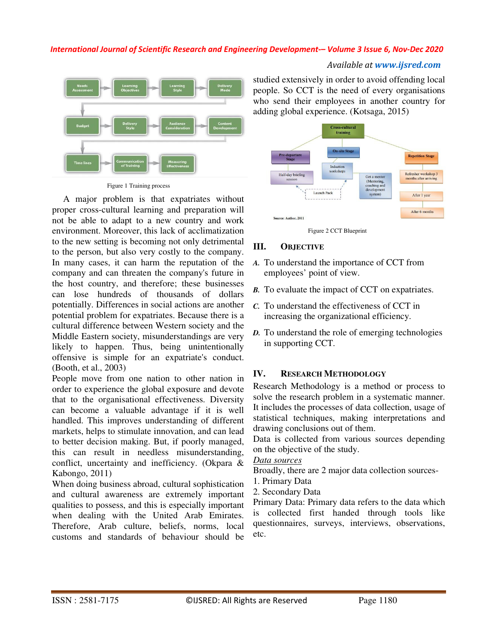

Figure 1 Training process

A major problem is that expatriates without proper cross-cultural learning and preparation will not be able to adapt to a new country and work environment. Moreover, this lack of acclimatization to the new setting is becoming not only detrimental to the person, but also very costly to the company. In many cases, it can harm the reputation of the company and can threaten the company's future in the host country, and therefore; these businesses can lose hundreds of thousands of dollars potentially. Differences in social actions are another potential problem for expatriates. Because there is a cultural difference between Western society and the Middle Eastern society, misunderstandings are very likely to happen. Thus, being unintentionally offensive is simple for an expatriate's conduct. (Booth, et al., 2003)

People move from one nation to other nation in order to experience the global exposure and devote that to the organisational effectiveness. Diversity can become a valuable advantage if it is well handled. This improves understanding of different markets, helps to stimulate innovation, and can lead to better decision making. But, if poorly managed, this can result in needless misunderstanding, conflict, uncertainty and inefficiency. (Okpara & Kabongo, 2011)

When doing business abroad, cultural sophistication and cultural awareness are extremely important qualities to possess, and this is especially important when dealing with the United Arab Emirates. Therefore, Arab culture, beliefs, norms, local customs and standards of behaviour should be

studied extensively in order to avoid offending local people. So CCT is the need of every organisations who send their employees in another country for adding global experience. (Kotsaga, 2015)

*Available at www.ijsred.com*





## **III. OBJECTIVE**

- *A.* To understand the importance of CCT from employees' point of view.
- *B.* To evaluate the impact of CCT on expatriates.
- *C.* To understand the effectiveness of CCT in increasing the organizational efficiency.
- *D.* To understand the role of emerging technologies in supporting CCT.

## **IV. RESEARCH METHODOLOGY**

Research Methodology is a method or process to solve the research problem in a systematic manner. It includes the processes of data collection, usage of statistical techniques, making interpretations and drawing conclusions out of them.

Data is collected from various sources depending on the objective of the study.

## *Data sources*

Broadly, there are 2 major data collection sources-

- 1. Primary Data
- 2. Secondary Data

Primary Data: Primary data refers to the data which is collected first handed through tools like questionnaires, surveys, interviews, observations, etc.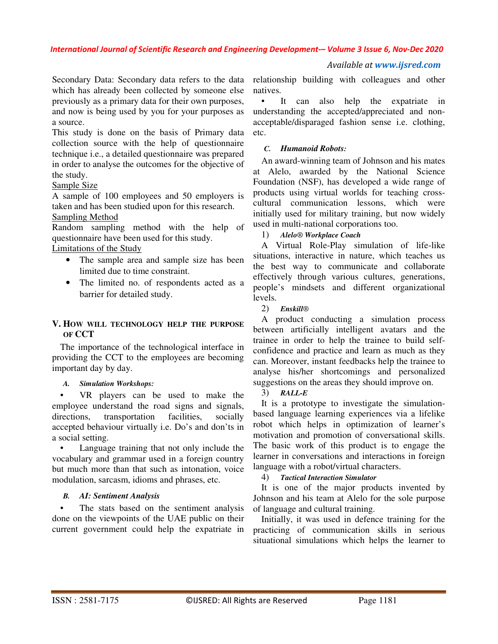#### *Available at www.ijsred.com*

Secondary Data: Secondary data refers to the data which has already been collected by someone else previously as a primary data for their own purposes, and now is being used by you for your purposes as a source.

This study is done on the basis of Primary data collection source with the help of questionnaire technique i.e., a detailed questionnaire was prepared in order to analyse the outcomes for the objective of the study.

## Sample Size

A sample of 100 employees and 50 employers is taken and has been studied upon for this research. Sampling Method

Random sampling method with the help of questionnaire have been used for this study.

Limitations of the Study

- The sample area and sample size has been limited due to time constraint.
- The limited no. of respondents acted as a barrier for detailed study.

## **V. HOW WILL TECHNOLOGY HELP THE PURPOSE OF CCT**

The importance of the technological interface in providing the CCT to the employees are becoming important day by day.

#### *A. Simulation Workshops:*

VR players can be used to make the employee understand the road signs and signals, directions, transportation facilities, socially accepted behaviour virtually i.e. Do's and don'ts in a social setting.

Language training that not only include the vocabulary and grammar used in a foreign country but much more than that such as intonation, voice modulation, sarcasm, idioms and phrases, etc.

## *B. AI: Sentiment Analysis*

The stats based on the sentiment analysis done on the viewpoints of the UAE public on their current government could help the expatriate in

relationship building with colleagues and other natives.

It can also help the expatriate in understanding the accepted/appreciated and nonacceptable/disparaged fashion sense i.e. clothing, etc.

#### *C. Humanoid Robots:*

An award-winning team of Johnson and his mates at Alelo, awarded by the National Science Foundation (NSF), has developed a wide range of products using virtual worlds for teaching crosscultural communication lessons, which were initially used for military training, but now widely used in multi-national corporations too.

1) *Alelo® Workplace Coach*

A Virtual Role-Play simulation of life-like situations, interactive in nature, which teaches us the best way to communicate and collaborate effectively through various cultures, generations, people's mindsets and different organizational levels.

2) *Enskill®*

A product conducting a simulation process between artificially intelligent avatars and the trainee in order to help the trainee to build selfconfidence and practice and learn as much as they can. Moreover, instant feedbacks help the trainee to analyse his/her shortcomings and personalized suggestions on the areas they should improve on.

## 3) *RALL-E*

It is a prototype to investigate the simulationbased language learning experiences via a lifelike robot which helps in optimization of learner's motivation and promotion of conversational skills. The basic work of this product is to engage the learner in conversations and interactions in foreign language with a robot/virtual characters.

## 4) *Tactical Interaction Simulator*

It is one of the major products invented by Johnson and his team at Alelo for the sole purpose of language and cultural training.

Initially, it was used in defence training for the practicing of communication skills in serious situational simulations which helps the learner to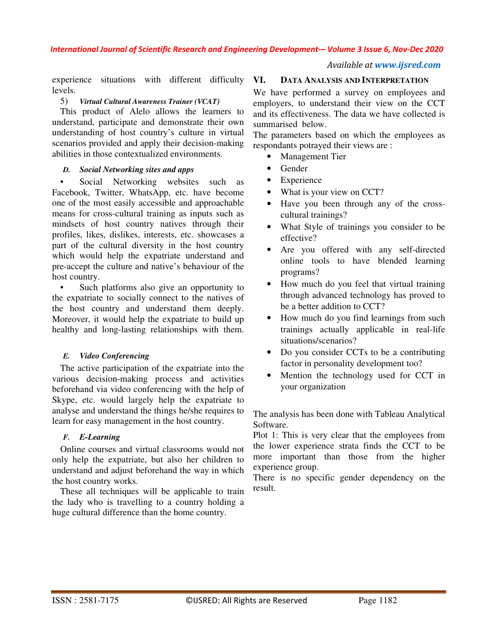*Available at www.ijsred.com*

experience situations with different difficulty levels.

## 5) *Virtual Cultural Awareness Trainer (VCAT)*

This product of Alelo allows the learners to understand, participate and demonstrate their own understanding of host country's culture in virtual scenarios provided and apply their decision-making abilities in those contextualized environments.

## *D. Social Networking sites and apps*

• Social Networking websites such as Facebook, Twitter, WhatsApp, etc. have become one of the most easily accessible and approachable means for cross-cultural training as inputs such as mindsets of host country natives through their profiles, likes, dislikes, interests, etc. showcases a part of the cultural diversity in the host country which would help the expatriate understand and pre-accept the culture and native's behaviour of the host country.

• Such platforms also give an opportunity to the expatriate to socially connect to the natives of the host country and understand them deeply. Moreover, it would help the expatriate to build up healthy and long-lasting relationships with them.

## *E. Video Conferencing*

The active participation of the expatriate into the various decision-making process and activities beforehand via video conferencing with the help of Skype, etc. would largely help the expatriate to analyse and understand the things he/she requires to learn for easy management in the host country.

## *F. E-Learning*

Online courses and virtual classrooms would not only help the expatriate, but also her children to understand and adjust beforehand the way in which the host country works.

These all techniques will be applicable to train the lady who is travelling to a country holding a huge cultural difference than the home country.

## **VI. DATA ANALYSIS AND INTERPRETATION**

We have performed a survey on employees and employers, to understand their view on the CCT and its effectiveness. The data we have collected is summarised below.

The parameters based on which the employees as respondants potrayed their views are :

- **Management Tier**
- Gender
- Experience
- What is your view on CCT?
- Have you been through any of the crosscultural trainings?
- What Style of trainings you consider to be effective?
- Are you offered with any self-directed online tools to have blended learning programs?
- How much do you feel that virtual training through advanced technology has proved to be a better addition to CCT?
- How much do you find learnings from such trainings actually applicable in real-life situations/scenarios?
- Do you consider CCTs to be a contributing factor in personality development too?
- Mention the technology used for CCT in your organization

The analysis has been done with Tableau Analytical Software.

Plot 1: This is very clear that the employees from the lower experience strata finds the CCT to be more important than those from the higher experience group.

There is no specific gender dependency on the result.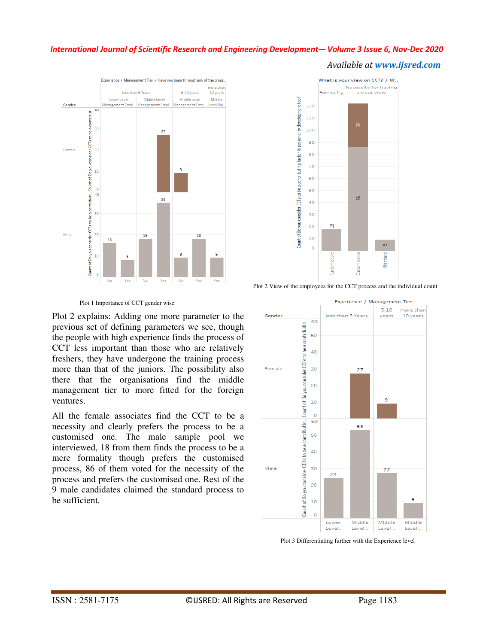#### *Available at www.ijsred.com*





Plot 2 View of the employees for the CCT process and the individual count

Plot 1 Importance of CCT gender wise

Plot 2 explains: Adding one more parameter to the previous set of defining parameters we see, though the people with high experience finds the process of CCT less important than those who are relatively freshers, they have undergone the training process more than that of the juniors. The possibility also there that the organisations find the middle management tier to more fitted for the foreign ventures.

All the female associates find the CCT to be a necessity and clearly prefers the process to be a customised one. The male sample pool we interviewed, 18 from them finds the process to be a mere formality though prefers the customised process, 86 of them voted for the necessity of the process and prefers the customised one. Rest of the 9 male candidates claimed the standard process to be sufficient.



Plot 3 Differentiating further with the Experience level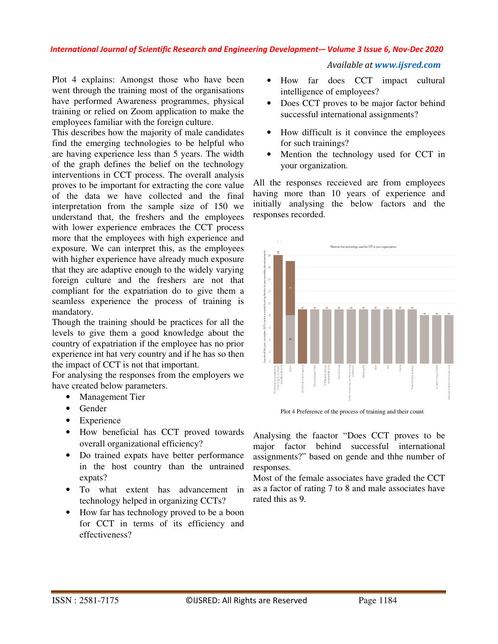Plot 4 explains: Amongst those who have been went through the training most of the organisations have performed Awareness programmes, physical training or relied on Zoom application to make the employees familiar with the foreign culture.

This describes how the majority of male candidates find the emerging technologies to be helpful who are having experience less than 5 years. The width of the graph defines the belief on the technology interventions in CCT process. The overall analysis proves to be important for extracting the core value of the data we have collected and the final interpretation from the sample size of 150 we understand that, the freshers and the employees with lower experience embraces the CCT process more that the employees with high experience and exposure. We can interpret this, as the employees with higher experience have already much exposure that they are adaptive enough to the widely varying foreign culture and the freshers are not that compliant for the expatriation do to give them a seamless experience the process of training is mandatory.

Though the training should be practices for all the levels to give them a good knowledge about the country of expatriation if the employee has no prior experience int hat very country and if he has so then the impact of CCT is not that important.

For analysing the responses from the employers we have created below parameters.

- Management Tier
- Gender
- Experience
- How beneficial has CCT proved towards overall organizational efficiency?
- Do trained expats have better performance in the host country than the untrained expats?
- To what extent has advancement in technology helped in organizing CCTs?
- How far has technology proved to be a boon for CCT in terms of its efficiency and effectiveness?

## *Available at www.ijsred.com*

- How far does CCT impact cultural intelligence of employees?
- Does CCT proves to be major factor behind successful international assignments?
- How difficult is it convince the employees for such trainings?
- Mention the technology used for CCT in your organization.

All the responses receieved are from employees having more than 10 years of experience and initially analysing the below factors and the responses recorded.



Plot 4 Preference of the process of training and their count

Analysing the faactor "Does CCT proves to be major factor behind successful international assignments?" based on gende and thhe number of responses.

Most of the female associates have graded the CCT as a factor of rating 7 to 8 and male associates have rated this as 9.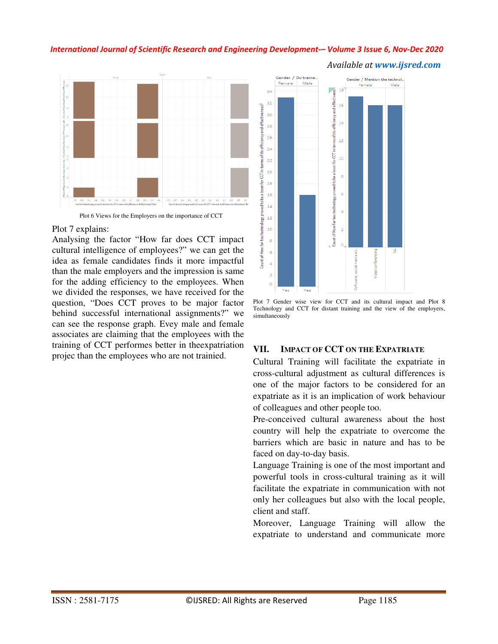

#### Plot 7 explains:

Analysing the factor "How far does CCT impact cultural intelligence of employees?" we can get the idea as female candidates finds it more impactful than the male employers and the impression is same for the adding efficiency to the employees. When we divided the responses, we have received for the question, "Does CCT proves to be major factor behind successful international assignments?" we can see the response graph. Evey male and female associates are claiming that the employees with the training of CCT performes better in theexpatriation projec than the employees who are not trainied.



*Available at www.ijsred.com*

Plot 7 Gender wise view for CCT and its cultural impact and Plot 8 Technology and CCT for distant training and the view of the employers, simultaneously

## **VII. IMPACT OF CCT ON THE EXPATRIATE**

Cultural Training will facilitate the expatriate in cross-cultural adjustment as cultural differences is one of the major factors to be considered for an expatriate as it is an implication of work behaviour of colleagues and other people too.

Pre-conceived cultural awareness about the host country will help the expatriate to overcome the barriers which are basic in nature and has to be faced on day-to-day basis.

Language Training is one of the most important and powerful tools in cross-cultural training as it will facilitate the expatriate in communication with not only her colleagues but also with the local people, client and staff.

Moreover, Language Training will allow the expatriate to understand and communicate more